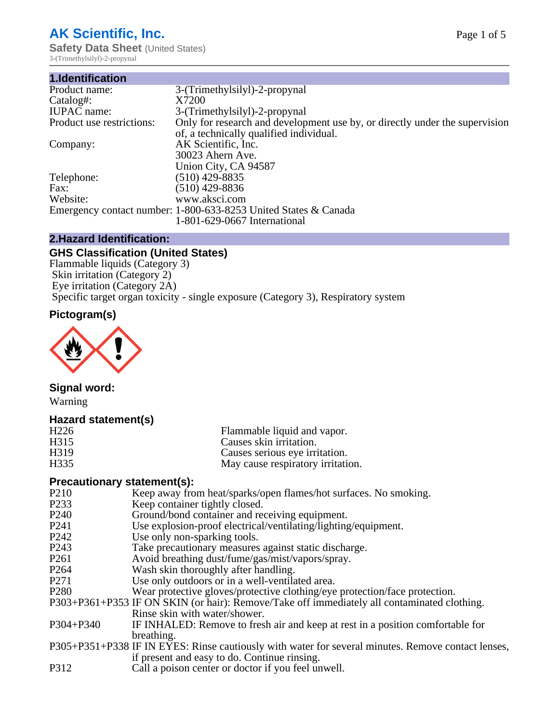## **AK Scientific, Inc.**

**Safety Data Sheet** (United States) 3-(Trimethylsilyl)-2-propynal

| 1.Identification          |                                                                             |
|---------------------------|-----------------------------------------------------------------------------|
| Product name:             | 3-(Trimethylsilyl)-2-propynal                                               |
| Catalog#:                 | X7200                                                                       |
| <b>IUPAC</b> name:        | 3-(Trimethylsilyl)-2-propynal                                               |
| Product use restrictions: | Only for research and development use by, or directly under the supervision |
|                           | of, a technically qualified individual.                                     |
| Company:                  | AK Scientific, Inc.                                                         |
|                           | 30023 Ahern Ave.                                                            |
|                           | Union City, CA 94587                                                        |
| Telephone:                | $(510)$ 429-8835                                                            |
| Fax:                      | $(510)$ 429-8836                                                            |
| Website:                  | www.aksci.com                                                               |
|                           | Emergency contact number: 1-800-633-8253 United States & Canada             |
|                           | 1-801-629-0667 International                                                |

#### **2.Hazard Identification:**

#### **GHS Classification (United States)**

Flammable liquids (Category 3) Skin irritation (Category 2) Eye irritation (Category 2A) Specific target organ toxicity - single exposure (Category 3), Respiratory system

#### **Pictogram(s)**



#### **Signal word:**

Warning

#### **Hazard statement(s)**

| H <sub>226</sub>  | Flammable liquid and vapor.       |
|-------------------|-----------------------------------|
| H315              | Causes skin irritation.           |
| H <sub>3</sub> 19 | Causes serious eye irritation.    |
| H <sub>335</sub>  | May cause respiratory irritation. |

#### **Precautionary statement(s):**

- P210 Keep away from heat/sparks/open flames/hot surfaces. No smoking.<br>P233 Keep container tightly closed
- P233 Keep container tightly closed.<br>P240 Ground/bond container and re
- Ground/bond container and receiving equipment.
- P241 Use explosion-proof electrical/ventilating/lighting/equipment.<br>P242 Use only non-sparking tools.
- P242 Use only non-sparking tools.<br>P243 Take precautionary measures
- P243 Take precautionary measures against static discharge.<br>P261 Avoid breathing dust/fume/gas/mist/vapors/sprav.
- Avoid breathing dust/fume/gas/mist/vapors/spray.
- P264 Wash skin thoroughly after handling.
- P271 Use only outdoors or in a well-ventilated area.
- P280 Wear protective gloves/protective clothing/eye protection/face protection.
- P303+P361+P353 IF ON SKIN (or hair): Remove/Take off immediately all contaminated clothing. Rinse skin with water/shower.
- P304+P340 IF INHALED: Remove to fresh air and keep at rest in a position comfortable for breathing.
- P305+P351+P338 IF IN EYES: Rinse cautiously with water for several minutes. Remove contact lenses, if present and easy to do. Continue rinsing.
- P312 Call a poison center or doctor if you feel unwell.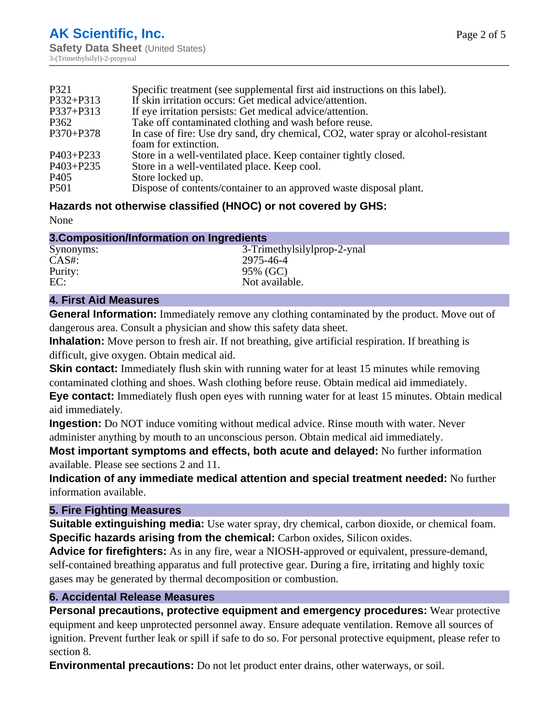| P321             | Specific treatment (see supplemental first aid instructions on this label).        |
|------------------|------------------------------------------------------------------------------------|
| P332+P313        | If skin irritation occurs: Get medical advice/attention.                           |
| P337+P313        | If eye irritation persists: Get medical advice/attention.                          |
| P362             | Take off contaminated clothing and wash before reuse.                              |
| P370+P378        | In case of fire: Use dry sand, dry chemical, CO2, water spray or alcohol-resistant |
|                  | foam for extinction.                                                               |
| P403+P233        | Store in a well-ventilated place. Keep container tightly closed.                   |
| P403+P235        | Store in a well-ventilated place. Keep cool.                                       |
| P <sub>405</sub> | Store locked up.                                                                   |
| P <sub>501</sub> | Dispose of contents/container to an approved waste disposal plant.                 |

#### **Hazards not otherwise classified (HNOC) or not covered by GHS:**

None

| 3. Composition/Information on Ingredients |                             |  |
|-------------------------------------------|-----------------------------|--|
| Synonyms:                                 | 3-Trimethylsilylprop-2-ynal |  |
| $CAS#$ :                                  | 2975-46-4                   |  |
| Purity:                                   | 95% (GC)                    |  |
| EC:                                       | Not available.              |  |

#### **4. First Aid Measures**

**General Information:** Immediately remove any clothing contaminated by the product. Move out of dangerous area. Consult a physician and show this safety data sheet.

**Inhalation:** Move person to fresh air. If not breathing, give artificial respiration. If breathing is difficult, give oxygen. Obtain medical aid.

**Skin contact:** Immediately flush skin with running water for at least 15 minutes while removing contaminated clothing and shoes. Wash clothing before reuse. Obtain medical aid immediately.

**Eye contact:** Immediately flush open eyes with running water for at least 15 minutes. Obtain medical aid immediately.

**Ingestion:** Do NOT induce vomiting without medical advice. Rinse mouth with water. Never administer anything by mouth to an unconscious person. Obtain medical aid immediately.

**Most important symptoms and effects, both acute and delayed:** No further information available. Please see sections 2 and 11.

**Indication of any immediate medical attention and special treatment needed:** No further information available.

#### **5. Fire Fighting Measures**

**Suitable extinguishing media:** Use water spray, dry chemical, carbon dioxide, or chemical foam. **Specific hazards arising from the chemical:** Carbon oxides, Silicon oxides.

**Advice for firefighters:** As in any fire, wear a NIOSH-approved or equivalent, pressure-demand, self-contained breathing apparatus and full protective gear. During a fire, irritating and highly toxic gases may be generated by thermal decomposition or combustion.

#### **6. Accidental Release Measures**

**Personal precautions, protective equipment and emergency procedures:** Wear protective equipment and keep unprotected personnel away. Ensure adequate ventilation. Remove all sources of ignition. Prevent further leak or spill if safe to do so. For personal protective equipment, please refer to section 8.

**Environmental precautions:** Do not let product enter drains, other waterways, or soil.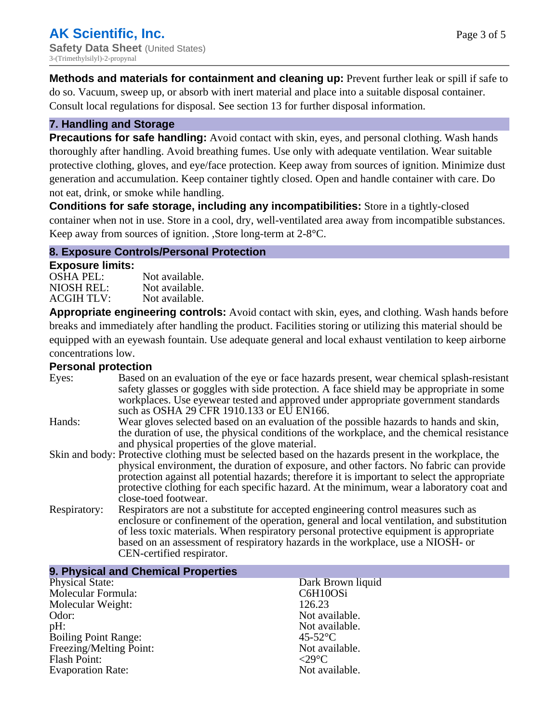**Methods and materials for containment and cleaning up:** Prevent further leak or spill if safe to do so. Vacuum, sweep up, or absorb with inert material and place into a suitable disposal container. Consult local regulations for disposal. See section 13 for further disposal information.

#### **7. Handling and Storage**

**Precautions for safe handling:** Avoid contact with skin, eyes, and personal clothing. Wash hands thoroughly after handling. Avoid breathing fumes. Use only with adequate ventilation. Wear suitable protective clothing, gloves, and eye/face protection. Keep away from sources of ignition. Minimize dust generation and accumulation. Keep container tightly closed. Open and handle container with care. Do not eat, drink, or smoke while handling.

**Conditions for safe storage, including any incompatibilities:** Store in a tightly-closed container when not in use. Store in a cool, dry, well-ventilated area away from incompatible substances. Keep away from sources of ignition. ,Store long-term at 2-8°C.

#### **8. Exposure Controls/Personal Protection**

#### **Exposure limits:**

| <b>OSHA PEL:</b>  | Not available. |
|-------------------|----------------|
| NIOSH REL:        | Not available. |
| <b>ACGIH TLV:</b> | Not available. |

**Appropriate engineering controls:** Avoid contact with skin, eyes, and clothing. Wash hands before breaks and immediately after handling the product. Facilities storing or utilizing this material should be equipped with an eyewash fountain. Use adequate general and local exhaust ventilation to keep airborne concentrations low.

#### **Personal protection**

| Eyes:        | Based on an evaluation of the eye or face hazards present, wear chemical splash-resistant              |
|--------------|--------------------------------------------------------------------------------------------------------|
|              | safety glasses or goggles with side protection. A face shield may be appropriate in some               |
|              | workplaces. Use eyewear tested and approved under appropriate government standards                     |
|              | such as OSHA 29 CFR 1910.133 or EU EN166.                                                              |
| Hands:       | Wear gloves selected based on an evaluation of the possible hazards to hands and skin,                 |
|              | the duration of use, the physical conditions of the workplace, and the chemical resistance             |
|              | and physical properties of the glove material.                                                         |
|              | Skin and body: Protective clothing must be selected based on the hazards present in the workplace, the |
|              | physical environment, the duration of exposure, and other factors. No fabric can provide               |
|              | protection against all potential hazards; therefore it is important to select the appropriate          |
|              | protective clothing for each specific hazard. At the minimum, wear a laboratory coat and               |
|              | close-toed footwear.                                                                                   |
| Respiratory: | Respirators are not a substitute for accepted engineering control measures such as                     |
|              | enclosure or confinement of the operation, general and local ventilation, and substitution             |
|              | of less toxic materials. When respiratory personal protective equipment is appropriate                 |
|              | based on an assessment of respiratory hazards in the workplace, use a NIOSH- or                        |
|              | CEN-certified respirator.                                                                              |

| 9. Physical and Chemical Properties |                              |  |
|-------------------------------------|------------------------------|--|
| <b>Physical State:</b>              | Dark Brown liquid            |  |
| Molecular Formula:                  | C6H10OSi                     |  |
| Molecular Weight:                   | 126.23                       |  |
| Odor:                               | Not available.               |  |
| pH:                                 | Not available.               |  |
| <b>Boiling Point Range:</b>         | $45-52$ °C                   |  |
| Freezing/Melting Point:             | Not available.               |  |
| <b>Flash Point:</b>                 | $\langle 29^\circ C \rangle$ |  |
| <b>Evaporation Rate:</b>            | Not available.               |  |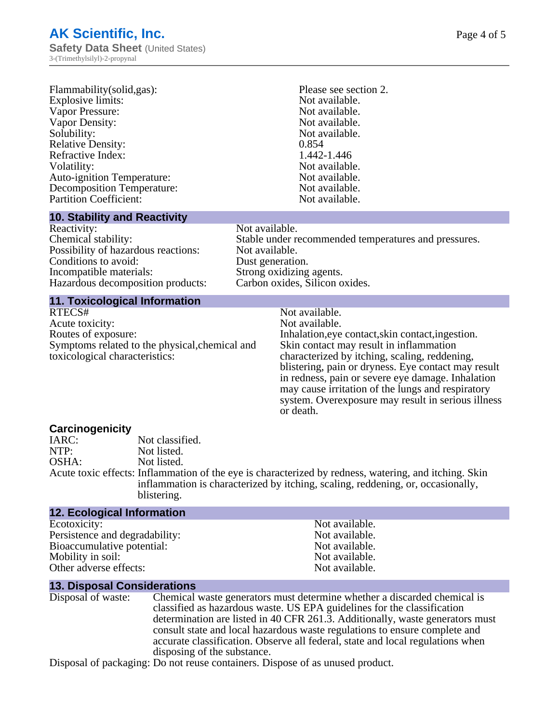| Flammability(solid,gas):          | Please |
|-----------------------------------|--------|
| Explosive limits:                 | Not a  |
| Vapor Pressure:                   | Not a  |
| <b>Vapor Density:</b>             | Not a  |
| Solubility:                       | Not a  |
| <b>Relative Density:</b>          | 0.854  |
| <b>Refractive Index:</b>          | 1.442  |
| Volatility:                       | Not a  |
| <b>Auto-ignition Temperature:</b> | Not a  |
| <b>Decomposition Temperature:</b> | Not a  |
| <b>Partition Coefficient:</b>     | Not a  |
|                                   |        |

#### **10. Stability and Reactivity**

Reactivity: Not available. Possibility of hazardous reactions: Not available. Conditions to avoid: Dust generation. Incompatible materials:<br>
Hazardous decomposition products: Carbon oxides, Silicon oxides. Hazardous decomposition products:

Not available. Refractive Index: 1.442-1.446 Not available. Not available. Not available. Not available.

Please see section 2. Not available. Not available. Not available.

Chemical stability: Stable under recommended temperatures and pressures.

# **11. Toxicological Information**

Acute toxicity: Not available. Routes of exposure: The Inhalation, eve contact, skin contact, ingestion. Symptoms related to the physical,chemical and toxicological characteristics:

Skin contact may result in inflammation characterized by itching, scaling, reddening,

Not available.

blistering, pain or dryness. Eye contact may result in redness, pain or severe eye damage. Inhalation may cause irritation of the lungs and respiratory system. Overexposure may result in serious illness or death.

#### **Carcinogenicity**

IARC: Not classified.<br>
Not listed. NTP:<br>
OSHA: Not listed.<br>
Not listed. Not listed. Acute toxic effects: Inflammation of the eye is characterized by redness, watering, and itching. Skin inflammation is characterized by itching, scaling, reddening, or, occasionally, blistering.

| <b>12. Ecological Information</b> |                |
|-----------------------------------|----------------|
| Ecotoxicity:                      | Not available. |
| Persistence and degradability:    | Not available. |
| Bioaccumulative potential:        | Not available. |
| Mobility in soil:                 | Not available. |
| Other adverse effects:            | Not available. |

#### **13. Disposal Considerations**

Disposal of waste: Chemical waste generators must determine whether a discarded chemical is classified as hazardous waste. US EPA guidelines for the classification determination are listed in 40 CFR 261.3. Additionally, waste generators must consult state and local hazardous waste regulations to ensure complete and accurate classification. Observe all federal, state and local regulations when disposing of the substance.

Disposal of packaging: Do not reuse containers. Dispose of as unused product.